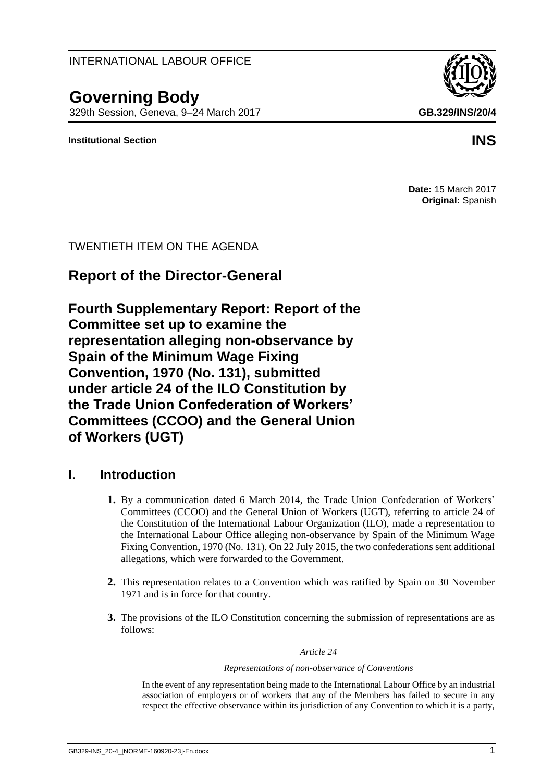# INTERNATIONAL LABOUR OFFICE

# **Governing Body**

329th Session, Geneva, 9–24 March 2017 **GB.329/INS/20/4**

## **Institutional Section INS**

**Date:** 15 March 2017 **Original:** Spanish

TWENTIETH ITEM ON THE AGENDA

# **Report of the Director-General**

**Fourth Supplementary Report: Report of the Committee set up to examine the representation alleging non-observance by Spain of the Minimum Wage Fixing Convention, 1970 (No. 131), submitted under article 24 of the ILO Constitution by the Trade Union Confederation of Workers' Committees (CCOO) and the General Union of Workers (UGT)**

# **I. Introduction**

- **1.** By a communication dated 6 March 2014, the Trade Union Confederation of Workers' Committees (CCOO) and the General Union of Workers (UGT), referring to article 24 of the Constitution of the International Labour Organization (ILO), made a representation to the International Labour Office alleging non-observance by Spain of the Minimum Wage Fixing Convention, 1970 (No. 131). On 22 July 2015, the two confederations sent additional allegations, which were forwarded to the Government.
- **2.** This representation relates to a Convention which was ratified by Spain on 30 November 1971 and is in force for that country.
- **3.** The provisions of the ILO Constitution concerning the submission of representations are as follows:

## *Article 24*

## *Representations of non-observance of Conventions*

In the event of any representation being made to the International Labour Office by an industrial association of employers or of workers that any of the Members has failed to secure in any respect the effective observance within its jurisdiction of any Convention to which it is a party,

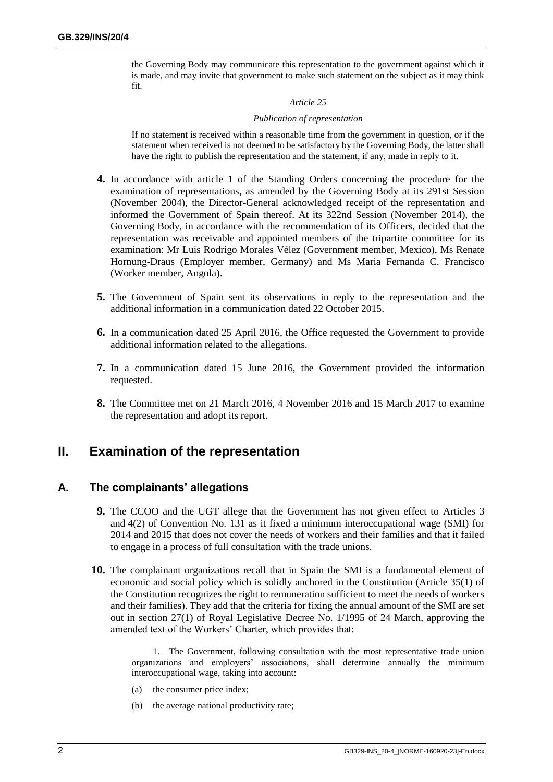the Governing Body may communicate this representation to the government against which it is made, and may invite that government to make such statement on the subject as it may think fit.

#### *Article 25*

#### *Publication of representation*

If no statement is received within a reasonable time from the government in question, or if the statement when received is not deemed to be satisfactory by the Governing Body, the latter shall have the right to publish the representation and the statement, if any, made in reply to it.

- **4.** In accordance with article 1 of the Standing Orders concerning the procedure for the examination of representations, as amended by the Governing Body at its 291st Session (November 2004), the Director-General acknowledged receipt of the representation and informed the Government of Spain thereof. At its 322nd Session (November 2014), the Governing Body, in accordance with the recommendation of its Officers, decided that the representation was receivable and appointed members of the tripartite committee for its examination: Mr Luis Rodrigo Morales Vélez (Government member, Mexico), Ms Renate Hornung-Draus (Employer member, Germany) and Ms Maria Fernanda C. Francisco (Worker member, Angola).
- **5.** The Government of Spain sent its observations in reply to the representation and the additional information in a communication dated 22 October 2015.
- **6.** In a communication dated 25 April 2016, the Office requested the Government to provide additional information related to the allegations.
- **7.** In a communication dated 15 June 2016, the Government provided the information requested.
- **8.** The Committee met on 21 March 2016, 4 November 2016 and 15 March 2017 to examine the representation and adopt its report.

# **II. Examination of the representation**

## **A. The complainants' allegations**

- **9.** The CCOO and the UGT allege that the Government has not given effect to Articles 3 and 4(2) of Convention No. 131 as it fixed a minimum interoccupational wage (SMI) for 2014 and 2015 that does not cover the needs of workers and their families and that it failed to engage in a process of full consultation with the trade unions.
- **10.** The complainant organizations recall that in Spain the SMI is a fundamental element of economic and social policy which is solidly anchored in the Constitution (Article 35(1) of the Constitution recognizes the right to remuneration sufficient to meet the needs of workers and their families). They add that the criteria for fixing the annual amount of the SMI are set out in section 27(1) of Royal Legislative Decree No. 1/1995 of 24 March, approving the amended text of the Workers' Charter, which provides that:

1. The Government, following consultation with the most representative trade union organizations and employers' associations, shall determine annually the minimum interoccupational wage, taking into account:

- (a) the consumer price index;
- (b) the average national productivity rate;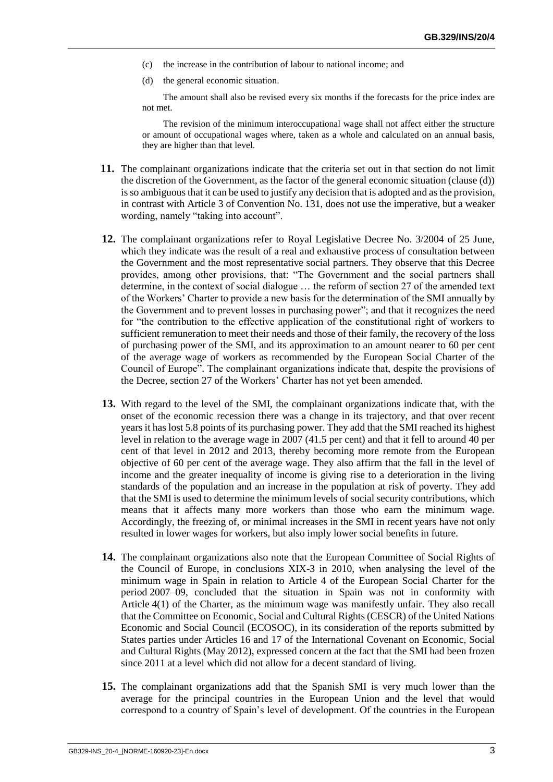- (c) the increase in the contribution of labour to national income; and
- (d) the general economic situation.

The amount shall also be revised every six months if the forecasts for the price index are not met.

The revision of the minimum interoccupational wage shall not affect either the structure or amount of occupational wages where, taken as a whole and calculated on an annual basis, they are higher than that level.

- **11.** The complainant organizations indicate that the criteria set out in that section do not limit the discretion of the Government, as the factor of the general economic situation (clause (d)) is so ambiguous that it can be used to justify any decision that is adopted and as the provision, in contrast with Article 3 of Convention No. 131, does not use the imperative, but a weaker wording, namely "taking into account".
- **12.** The complainant organizations refer to Royal Legislative Decree No. 3/2004 of 25 June, which they indicate was the result of a real and exhaustive process of consultation between the Government and the most representative social partners. They observe that this Decree provides, among other provisions, that: "The Government and the social partners shall determine, in the context of social dialogue … the reform of section 27 of the amended text of the Workers' Charter to provide a new basis for the determination of the SMI annually by the Government and to prevent losses in purchasing power"; and that it recognizes the need for "the contribution to the effective application of the constitutional right of workers to sufficient remuneration to meet their needs and those of their family, the recovery of the loss of purchasing power of the SMI, and its approximation to an amount nearer to 60 per cent of the average wage of workers as recommended by the European Social Charter of the Council of Europe". The complainant organizations indicate that, despite the provisions of the Decree, section 27 of the Workers' Charter has not yet been amended.
- **13.** With regard to the level of the SMI, the complainant organizations indicate that, with the onset of the economic recession there was a change in its trajectory, and that over recent years it has lost 5.8 points of its purchasing power. They add that the SMI reached its highest level in relation to the average wage in 2007 (41.5 per cent) and that it fell to around 40 per cent of that level in 2012 and 2013, thereby becoming more remote from the European objective of 60 per cent of the average wage. They also affirm that the fall in the level of income and the greater inequality of income is giving rise to a deterioration in the living standards of the population and an increase in the population at risk of poverty. They add that the SMI is used to determine the minimum levels of social security contributions, which means that it affects many more workers than those who earn the minimum wage. Accordingly, the freezing of, or minimal increases in the SMI in recent years have not only resulted in lower wages for workers, but also imply lower social benefits in future.
- **14.** The complainant organizations also note that the European Committee of Social Rights of the Council of Europe, in conclusions XIX-3 in 2010, when analysing the level of the minimum wage in Spain in relation to Article 4 of the European Social Charter for the period 2007–09, concluded that the situation in Spain was not in conformity with Article 4(1) of the Charter, as the minimum wage was manifestly unfair. They also recall that the Committee on Economic, Social and Cultural Rights (CESCR) of the United Nations Economic and Social Council (ECOSOC), in its consideration of the reports submitted by States parties under Articles 16 and 17 of the International Covenant on Economic, Social and Cultural Rights (May 2012), expressed concern at the fact that the SMI had been frozen since 2011 at a level which did not allow for a decent standard of living.
- **15.** The complainant organizations add that the Spanish SMI is very much lower than the average for the principal countries in the European Union and the level that would correspond to a country of Spain's level of development. Of the countries in the European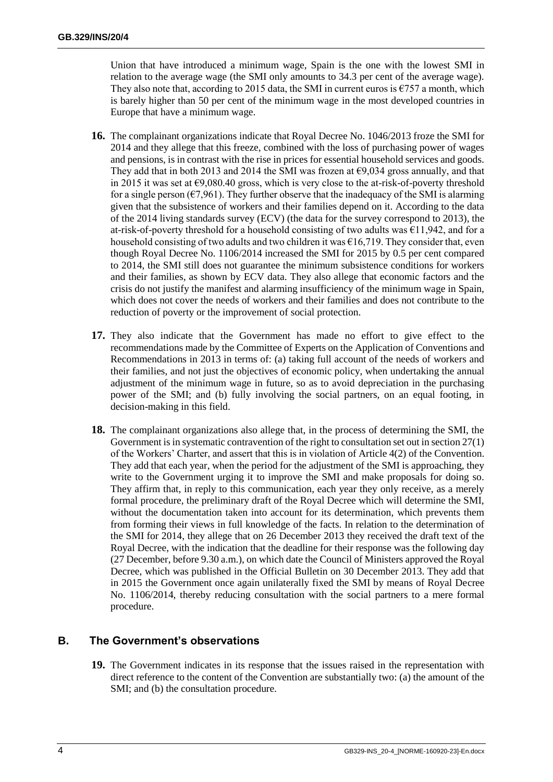Union that have introduced a minimum wage, Spain is the one with the lowest SMI in relation to the average wage (the SMI only amounts to 34.3 per cent of the average wage). They also note that, according to 2015 data, the SMI in current euros is  $\epsilon$ 757 a month, which is barely higher than 50 per cent of the minimum wage in the most developed countries in Europe that have a minimum wage.

- **16.** The complainant organizations indicate that Royal Decree No. 1046/2013 froze the SMI for 2014 and they allege that this freeze, combined with the loss of purchasing power of wages and pensions, is in contrast with the rise in prices for essential household services and goods. They add that in both 2013 and 2014 the SMI was frozen at  $\epsilon$ 9,034 gross annually, and that in 2015 it was set at €9,080.40 gross, which is very close to the at-risk-of-poverty threshold for a single person ( $\epsilon$ 7,961). They further observe that the inadequacy of the SMI is alarming given that the subsistence of workers and their families depend on it. According to the data of the 2014 living standards survey (ECV) (the data for the survey correspond to 2013), the at-risk-of-poverty threshold for a household consisting of two adults was  $\epsilon$ 11,942, and for a household consisting of two adults and two children it was  $\epsilon$ 16,719. They consider that, even though Royal Decree No. 1106/2014 increased the SMI for 2015 by 0.5 per cent compared to 2014, the SMI still does not guarantee the minimum subsistence conditions for workers and their families, as shown by ECV data. They also allege that economic factors and the crisis do not justify the manifest and alarming insufficiency of the minimum wage in Spain, which does not cover the needs of workers and their families and does not contribute to the reduction of poverty or the improvement of social protection.
- **17.** They also indicate that the Government has made no effort to give effect to the recommendations made by the Committee of Experts on the Application of Conventions and Recommendations in 2013 in terms of: (a) taking full account of the needs of workers and their families, and not just the objectives of economic policy, when undertaking the annual adjustment of the minimum wage in future, so as to avoid depreciation in the purchasing power of the SMI; and (b) fully involving the social partners, on an equal footing, in decision-making in this field.
- **18.** The complainant organizations also allege that, in the process of determining the SMI, the Government is in systematic contravention of the right to consultation set out in section 27(1) of the Workers' Charter, and assert that this is in violation of Article 4(2) of the Convention. They add that each year, when the period for the adjustment of the SMI is approaching, they write to the Government urging it to improve the SMI and make proposals for doing so. They affirm that, in reply to this communication, each year they only receive, as a merely formal procedure, the preliminary draft of the Royal Decree which will determine the SMI, without the documentation taken into account for its determination, which prevents them from forming their views in full knowledge of the facts. In relation to the determination of the SMI for 2014, they allege that on 26 December 2013 they received the draft text of the Royal Decree, with the indication that the deadline for their response was the following day (27 December, before 9.30 a.m.), on which date the Council of Ministers approved the Royal Decree, which was published in the Official Bulletin on 30 December 2013. They add that in 2015 the Government once again unilaterally fixed the SMI by means of Royal Decree No. 1106/2014, thereby reducing consultation with the social partners to a mere formal procedure.

## **B. The Government's observations**

**19.** The Government indicates in its response that the issues raised in the representation with direct reference to the content of the Convention are substantially two: (a) the amount of the SMI; and (b) the consultation procedure.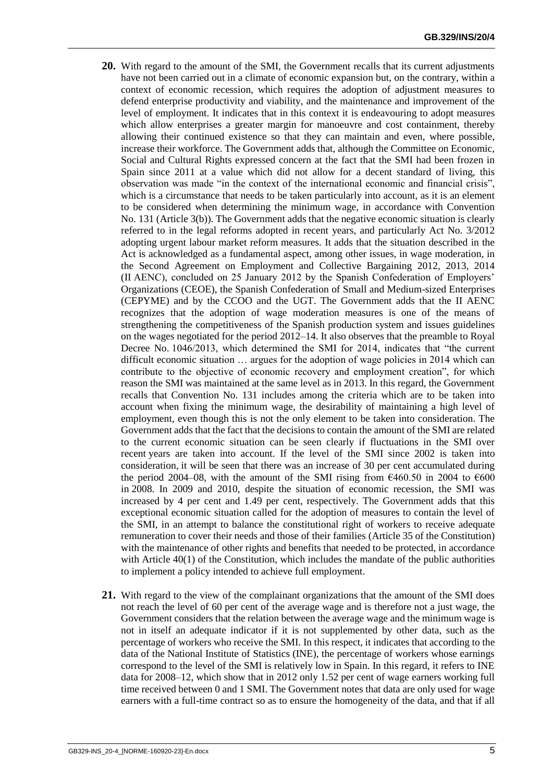- **20.** With regard to the amount of the SMI, the Government recalls that its current adjustments have not been carried out in a climate of economic expansion but, on the contrary, within a context of economic recession, which requires the adoption of adjustment measures to defend enterprise productivity and viability, and the maintenance and improvement of the level of employment. It indicates that in this context it is endeavouring to adopt measures which allow enterprises a greater margin for manoeuvre and cost containment, thereby allowing their continued existence so that they can maintain and even, where possible, increase their workforce. The Government adds that, although the Committee on Economic, Social and Cultural Rights expressed concern at the fact that the SMI had been frozen in Spain since 2011 at a value which did not allow for a decent standard of living, this observation was made "in the context of the international economic and financial crisis", which is a circumstance that needs to be taken particularly into account, as it is an element to be considered when determining the minimum wage, in accordance with Convention No. 131 (Article 3(b)). The Government adds that the negative economic situation is clearly referred to in the legal reforms adopted in recent years, and particularly Act No. 3/2012 adopting urgent labour market reform measures. It adds that the situation described in the Act is acknowledged as a fundamental aspect, among other issues, in wage moderation, in the Second Agreement on Employment and Collective Bargaining 2012, 2013, 2014 (II AENC), concluded on 25 January 2012 by the Spanish Confederation of Employers' Organizations (CEOE), the Spanish Confederation of Small and Medium-sized Enterprises (CEPYME) and by the CCOO and the UGT. The Government adds that the II AENC recognizes that the adoption of wage moderation measures is one of the means of strengthening the competitiveness of the Spanish production system and issues guidelines on the wages negotiated for the period 2012–14. It also observes that the preamble to Royal Decree No. 1046/2013, which determined the SMI for 2014, indicates that "the current difficult economic situation … argues for the adoption of wage policies in 2014 which can contribute to the objective of economic recovery and employment creation", for which reason the SMI was maintained at the same level as in 2013. In this regard, the Government recalls that Convention No. 131 includes among the criteria which are to be taken into account when fixing the minimum wage, the desirability of maintaining a high level of employment, even though this is not the only element to be taken into consideration. The Government adds that the fact that the decisions to contain the amount of the SMI are related to the current economic situation can be seen clearly if fluctuations in the SMI over recent years are taken into account. If the level of the SMI since 2002 is taken into consideration, it will be seen that there was an increase of 30 per cent accumulated during the period 2004–08, with the amount of the SMI rising from  $\epsilon$ 460.50 in 2004 to  $\epsilon$ 600 in 2008. In 2009 and 2010, despite the situation of economic recession, the SMI was increased by 4 per cent and 1.49 per cent, respectively. The Government adds that this exceptional economic situation called for the adoption of measures to contain the level of the SMI, in an attempt to balance the constitutional right of workers to receive adequate remuneration to cover their needs and those of their families (Article 35 of the Constitution) with the maintenance of other rights and benefits that needed to be protected, in accordance with Article 40(1) of the Constitution, which includes the mandate of the public authorities to implement a policy intended to achieve full employment.
- **21.** With regard to the view of the complainant organizations that the amount of the SMI does not reach the level of 60 per cent of the average wage and is therefore not a just wage, the Government considers that the relation between the average wage and the minimum wage is not in itself an adequate indicator if it is not supplemented by other data, such as the percentage of workers who receive the SMI. In this respect, it indicates that according to the data of the National Institute of Statistics (INE), the percentage of workers whose earnings correspond to the level of the SMI is relatively low in Spain. In this regard, it refers to INE data for 2008–12, which show that in 2012 only 1.52 per cent of wage earners working full time received between 0 and 1 SMI. The Government notes that data are only used for wage earners with a full-time contract so as to ensure the homogeneity of the data, and that if all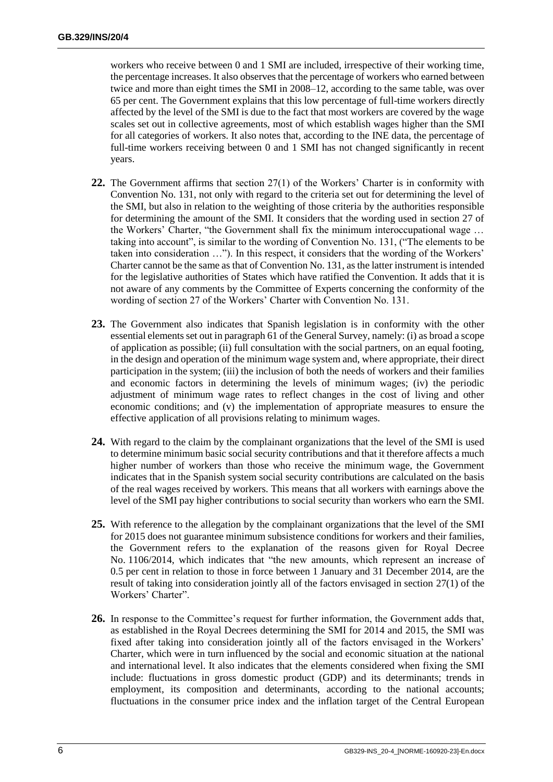workers who receive between 0 and 1 SMI are included, irrespective of their working time, the percentage increases. It also observes that the percentage of workers who earned between twice and more than eight times the SMI in 2008–12, according to the same table, was over 65 per cent. The Government explains that this low percentage of full-time workers directly affected by the level of the SMI is due to the fact that most workers are covered by the wage scales set out in collective agreements, most of which establish wages higher than the SMI for all categories of workers. It also notes that, according to the INE data, the percentage of full-time workers receiving between 0 and 1 SMI has not changed significantly in recent years.

- **22.** The Government affirms that section 27(1) of the Workers' Charter is in conformity with Convention No. 131, not only with regard to the criteria set out for determining the level of the SMI, but also in relation to the weighting of those criteria by the authorities responsible for determining the amount of the SMI. It considers that the wording used in section 27 of the Workers' Charter, "the Government shall fix the minimum interoccupational wage … taking into account", is similar to the wording of Convention No. 131, ("The elements to be taken into consideration …"). In this respect, it considers that the wording of the Workers' Charter cannot be the same as that of Convention No. 131, as the latter instrument is intended for the legislative authorities of States which have ratified the Convention. It adds that it is not aware of any comments by the Committee of Experts concerning the conformity of the wording of section 27 of the Workers' Charter with Convention No. 131.
- **23.** The Government also indicates that Spanish legislation is in conformity with the other essential elements set out in paragraph 61 of the General Survey, namely: (i) as broad a scope of application as possible; (ii) full consultation with the social partners, on an equal footing, in the design and operation of the minimum wage system and, where appropriate, their direct participation in the system; (iii) the inclusion of both the needs of workers and their families and economic factors in determining the levels of minimum wages; (iv) the periodic adjustment of minimum wage rates to reflect changes in the cost of living and other economic conditions; and (v) the implementation of appropriate measures to ensure the effective application of all provisions relating to minimum wages.
- **24.** With regard to the claim by the complainant organizations that the level of the SMI is used to determine minimum basic social security contributions and that it therefore affects a much higher number of workers than those who receive the minimum wage, the Government indicates that in the Spanish system social security contributions are calculated on the basis of the real wages received by workers. This means that all workers with earnings above the level of the SMI pay higher contributions to social security than workers who earn the SMI.
- **25.** With reference to the allegation by the complainant organizations that the level of the SMI for 2015 does not guarantee minimum subsistence conditions for workers and their families, the Government refers to the explanation of the reasons given for Royal Decree No. 1106/2014, which indicates that "the new amounts, which represent an increase of 0.5 per cent in relation to those in force between 1 January and 31 December 2014, are the result of taking into consideration jointly all of the factors envisaged in section 27(1) of the Workers' Charter".
- **26.** In response to the Committee's request for further information, the Government adds that, as established in the Royal Decrees determining the SMI for 2014 and 2015, the SMI was fixed after taking into consideration jointly all of the factors envisaged in the Workers' Charter, which were in turn influenced by the social and economic situation at the national and international level. It also indicates that the elements considered when fixing the SMI include: fluctuations in gross domestic product (GDP) and its determinants; trends in employment, its composition and determinants, according to the national accounts; fluctuations in the consumer price index and the inflation target of the Central European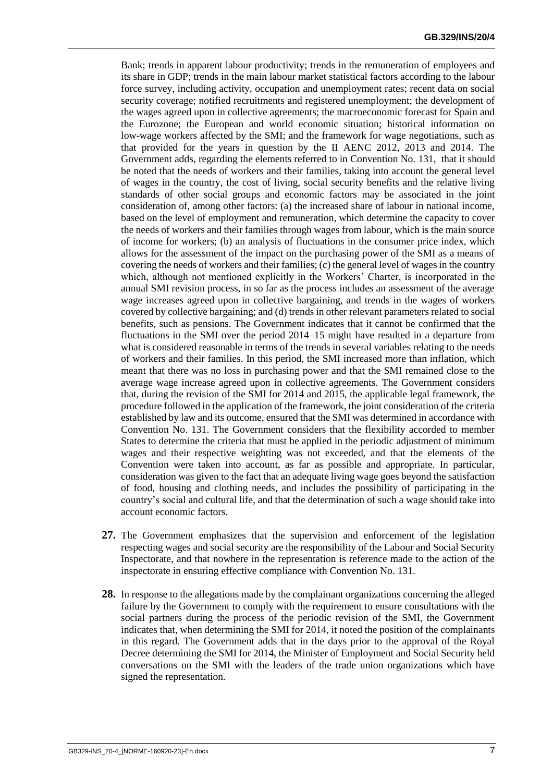Bank; trends in apparent labour productivity; trends in the remuneration of employees and its share in GDP; trends in the main labour market statistical factors according to the labour force survey, including activity, occupation and unemployment rates; recent data on social security coverage; notified recruitments and registered unemployment; the development of the wages agreed upon in collective agreements; the macroeconomic forecast for Spain and the Eurozone; the European and world economic situation; historical information on low-wage workers affected by the SMI; and the framework for wage negotiations, such as that provided for the years in question by the II AENC 2012, 2013 and 2014. The Government adds, regarding the elements referred to in Convention No. 131, that it should be noted that the needs of workers and their families, taking into account the general level of wages in the country, the cost of living, social security benefits and the relative living standards of other social groups and economic factors may be associated in the joint consideration of, among other factors: (a) the increased share of labour in national income, based on the level of employment and remuneration, which determine the capacity to cover the needs of workers and their families through wages from labour, which is the main source of income for workers; (b) an analysis of fluctuations in the consumer price index, which allows for the assessment of the impact on the purchasing power of the SMI as a means of covering the needs of workers and their families; (c) the general level of wages in the country which, although not mentioned explicitly in the Workers' Charter, is incorporated in the annual SMI revision process, in so far as the process includes an assessment of the average wage increases agreed upon in collective bargaining, and trends in the wages of workers covered by collective bargaining; and (d) trends in other relevant parameters related to social benefits, such as pensions. The Government indicates that it cannot be confirmed that the fluctuations in the SMI over the period 2014–15 might have resulted in a departure from what is considered reasonable in terms of the trends in several variables relating to the needs of workers and their families. In this period, the SMI increased more than inflation, which meant that there was no loss in purchasing power and that the SMI remained close to the average wage increase agreed upon in collective agreements. The Government considers that, during the revision of the SMI for 2014 and 2015, the applicable legal framework, the procedure followed in the application of the framework, the joint consideration of the criteria established by law and its outcome, ensured that the SMI was determined in accordance with Convention No. 131. The Government considers that the flexibility accorded to member States to determine the criteria that must be applied in the periodic adjustment of minimum wages and their respective weighting was not exceeded, and that the elements of the Convention were taken into account, as far as possible and appropriate. In particular, consideration was given to the fact that an adequate living wage goes beyond the satisfaction of food, housing and clothing needs, and includes the possibility of participating in the country's social and cultural life, and that the determination of such a wage should take into account economic factors.

- **27.** The Government emphasizes that the supervision and enforcement of the legislation respecting wages and social security are the responsibility of the Labour and Social Security Inspectorate, and that nowhere in the representation is reference made to the action of the inspectorate in ensuring effective compliance with Convention No. 131.
- **28.** In response to the allegations made by the complainant organizations concerning the alleged failure by the Government to comply with the requirement to ensure consultations with the social partners during the process of the periodic revision of the SMI, the Government indicates that, when determining the SMI for 2014, it noted the position of the complainants in this regard. The Government adds that in the days prior to the approval of the Royal Decree determining the SMI for 2014, the Minister of Employment and Social Security held conversations on the SMI with the leaders of the trade union organizations which have signed the representation.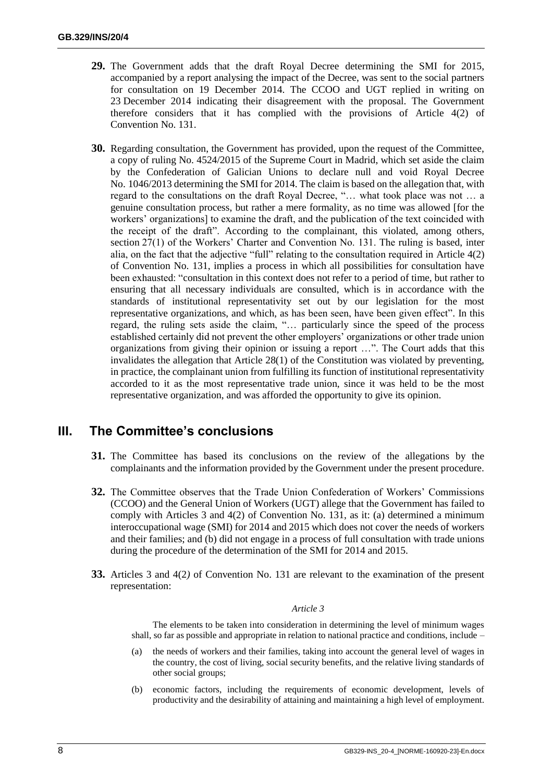- **29.** The Government adds that the draft Royal Decree determining the SMI for 2015, accompanied by a report analysing the impact of the Decree, was sent to the social partners for consultation on 19 December 2014. The CCOO and UGT replied in writing on 23 December 2014 indicating their disagreement with the proposal. The Government therefore considers that it has complied with the provisions of Article 4(2) of Convention No. 131.
- **30.** Regarding consultation, the Government has provided, upon the request of the Committee, a copy of ruling No. 4524/2015 of the Supreme Court in Madrid, which set aside the claim by the Confederation of Galician Unions to declare null and void Royal Decree No. 1046/2013 determining the SMI for 2014. The claim is based on the allegation that, with regard to the consultations on the draft Royal Decree, "… what took place was not … a genuine consultation process, but rather a mere formality, as no time was allowed [for the workers' organizations] to examine the draft, and the publication of the text coincided with the receipt of the draft". According to the complainant, this violated, among others, section 27(1) of the Workers' Charter and Convention No. 131. The ruling is based, inter alia, on the fact that the adjective "full" relating to the consultation required in Article 4(2) of Convention No. 131, implies a process in which all possibilities for consultation have been exhausted: "consultation in this context does not refer to a period of time, but rather to ensuring that all necessary individuals are consulted, which is in accordance with the standards of institutional representativity set out by our legislation for the most representative organizations, and which, as has been seen, have been given effect". In this regard, the ruling sets aside the claim, "… particularly since the speed of the process established certainly did not prevent the other employers' organizations or other trade union organizations from giving their opinion or issuing a report …". The Court adds that this invalidates the allegation that Article 28(1) of the Constitution was violated by preventing, in practice, the complainant union from fulfilling its function of institutional representativity accorded to it as the most representative trade union, since it was held to be the most representative organization, and was afforded the opportunity to give its opinion.

# **III. The Committee's conclusions**

- **31.** The Committee has based its conclusions on the review of the allegations by the complainants and the information provided by the Government under the present procedure.
- **32.** The Committee observes that the Trade Union Confederation of Workers' Commissions (CCOO) and the General Union of Workers (UGT) allege that the Government has failed to comply with Articles 3 and 4(2) of Convention No. 131, as it: (a) determined a minimum interoccupational wage (SMI) for 2014 and 2015 which does not cover the needs of workers and their families; and (b) did not engage in a process of full consultation with trade unions during the procedure of the determination of the SMI for 2014 and 2015.
- **33.** Articles 3 and 4(2*)* of Convention No. 131 are relevant to the examination of the present representation:

### *Article 3*

The elements to be taken into consideration in determining the level of minimum wages shall, so far as possible and appropriate in relation to national practice and conditions, include –

- (a) the needs of workers and their families, taking into account the general level of wages in the country, the cost of living, social security benefits, and the relative living standards of other social groups;
- (b) economic factors, including the requirements of economic development, levels of productivity and the desirability of attaining and maintaining a high level of employment.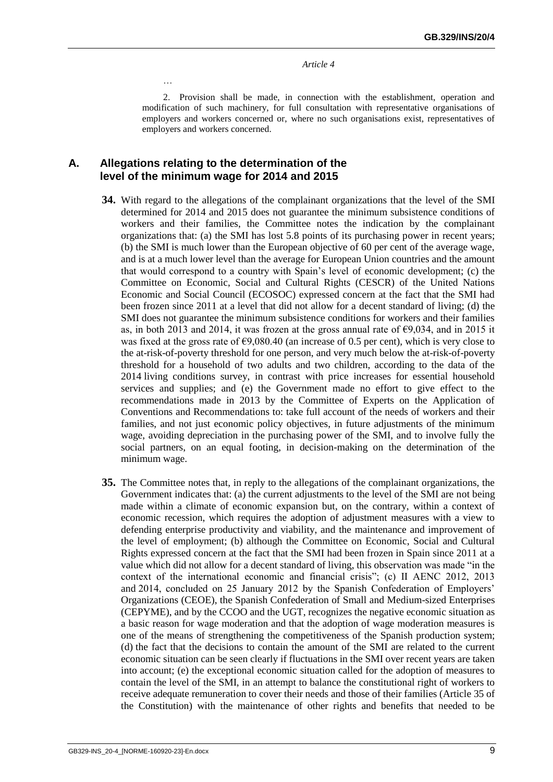*Article 4*

2. Provision shall be made, in connection with the establishment, operation and modification of such machinery, for full consultation with representative organisations of employers and workers concerned or, where no such organisations exist, representatives of employers and workers concerned.

## **A. Allegations relating to the determination of the level of the minimum wage for 2014 and 2015**

…

- **34.** With regard to the allegations of the complainant organizations that the level of the SMI determined for 2014 and 2015 does not guarantee the minimum subsistence conditions of workers and their families, the Committee notes the indication by the complainant organizations that: (a) the SMI has lost 5.8 points of its purchasing power in recent years; (b) the SMI is much lower than the European objective of 60 per cent of the average wage, and is at a much lower level than the average for European Union countries and the amount that would correspond to a country with Spain's level of economic development; (c) the Committee on Economic, Social and Cultural Rights (CESCR) of the United Nations Economic and Social Council (ECOSOC) expressed concern at the fact that the SMI had been frozen since 2011 at a level that did not allow for a decent standard of living; (d) the SMI does not guarantee the minimum subsistence conditions for workers and their families as, in both 2013 and 2014, it was frozen at the gross annual rate of  $\epsilon$ 9,034, and in 2015 it was fixed at the gross rate of  $\epsilon$ 9,080.40 (an increase of 0.5 per cent), which is very close to the at-risk-of-poverty threshold for one person, and very much below the at-risk-of-poverty threshold for a household of two adults and two children, according to the data of the 2014 living conditions survey, in contrast with price increases for essential household services and supplies; and (e) the Government made no effort to give effect to the recommendations made in 2013 by the Committee of Experts on the Application of Conventions and Recommendations to: take full account of the needs of workers and their families, and not just economic policy objectives, in future adjustments of the minimum wage, avoiding depreciation in the purchasing power of the SMI, and to involve fully the social partners, on an equal footing, in decision-making on the determination of the minimum wage.
- **35.** The Committee notes that, in reply to the allegations of the complainant organizations, the Government indicates that: (a) the current adjustments to the level of the SMI are not being made within a climate of economic expansion but, on the contrary, within a context of economic recession, which requires the adoption of adjustment measures with a view to defending enterprise productivity and viability, and the maintenance and improvement of the level of employment; (b) although the Committee on Economic, Social and Cultural Rights expressed concern at the fact that the SMI had been frozen in Spain since 2011 at a value which did not allow for a decent standard of living, this observation was made "in the context of the international economic and financial crisis"; (c) II AENC 2012, 2013 and 2014, concluded on 25 January 2012 by the Spanish Confederation of Employers' Organizations (CEOE), the Spanish Confederation of Small and Medium-sized Enterprises (CEPYME), and by the CCOO and the UGT, recognizes the negative economic situation as a basic reason for wage moderation and that the adoption of wage moderation measures is one of the means of strengthening the competitiveness of the Spanish production system; (d) the fact that the decisions to contain the amount of the SMI are related to the current economic situation can be seen clearly if fluctuations in the SMI over recent years are taken into account; (e) the exceptional economic situation called for the adoption of measures to contain the level of the SMI, in an attempt to balance the constitutional right of workers to receive adequate remuneration to cover their needs and those of their families (Article 35 of the Constitution) with the maintenance of other rights and benefits that needed to be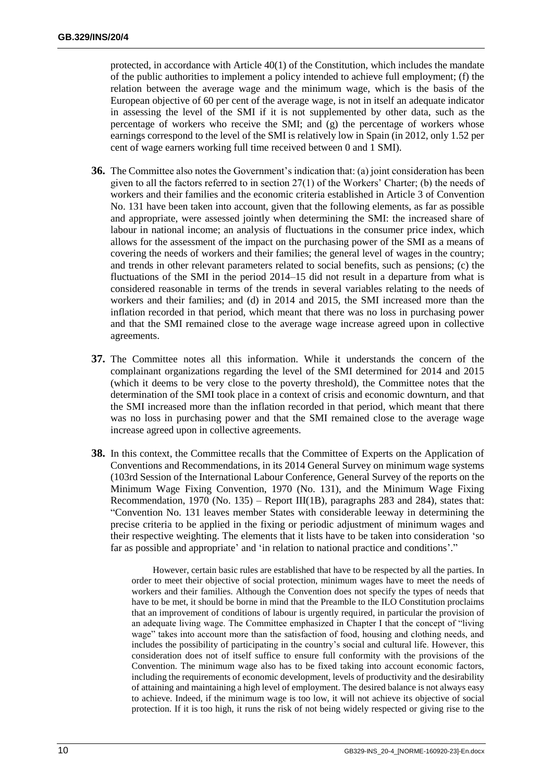protected, in accordance with Article 40(1) of the Constitution, which includes the mandate of the public authorities to implement a policy intended to achieve full employment; (f) the relation between the average wage and the minimum wage, which is the basis of the European objective of 60 per cent of the average wage, is not in itself an adequate indicator in assessing the level of the SMI if it is not supplemented by other data, such as the percentage of workers who receive the SMI; and (g) the percentage of workers whose earnings correspond to the level of the SMI is relatively low in Spain (in 2012, only 1.52 per cent of wage earners working full time received between 0 and 1 SMI).

- **36.** The Committee also notes the Government's indication that: (a) joint consideration has been given to all the factors referred to in section 27(1) of the Workers' Charter; (b) the needs of workers and their families and the economic criteria established in Article 3 of Convention No. 131 have been taken into account, given that the following elements, as far as possible and appropriate, were assessed jointly when determining the SMI: the increased share of labour in national income; an analysis of fluctuations in the consumer price index, which allows for the assessment of the impact on the purchasing power of the SMI as a means of covering the needs of workers and their families; the general level of wages in the country; and trends in other relevant parameters related to social benefits, such as pensions; (c) the fluctuations of the SMI in the period 2014–15 did not result in a departure from what is considered reasonable in terms of the trends in several variables relating to the needs of workers and their families; and (d) in 2014 and 2015, the SMI increased more than the inflation recorded in that period, which meant that there was no loss in purchasing power and that the SMI remained close to the average wage increase agreed upon in collective agreements.
- **37.** The Committee notes all this information. While it understands the concern of the complainant organizations regarding the level of the SMI determined for 2014 and 2015 (which it deems to be very close to the poverty threshold), the Committee notes that the determination of the SMI took place in a context of crisis and economic downturn, and that the SMI increased more than the inflation recorded in that period, which meant that there was no loss in purchasing power and that the SMI remained close to the average wage increase agreed upon in collective agreements.
- **38.** In this context, the Committee recalls that the Committee of Experts on the Application of Conventions and Recommendations, in its 2014 General Survey on minimum wage systems (103rd Session of the International Labour Conference, General Survey of the reports on the Minimum Wage Fixing Convention, 1970 (No. 131), and the Minimum Wage Fixing Recommendation, 1970 (No. 135) – Report III(1B), paragraphs 283 and 284), states that: "Convention No. 131 leaves member States with considerable leeway in determining the precise criteria to be applied in the fixing or periodic adjustment of minimum wages and their respective weighting. The elements that it lists have to be taken into consideration 'so far as possible and appropriate' and 'in relation to national practice and conditions'."

However, certain basic rules are established that have to be respected by all the parties. In order to meet their objective of social protection, minimum wages have to meet the needs of workers and their families. Although the Convention does not specify the types of needs that have to be met, it should be borne in mind that the Preamble to the ILO Constitution proclaims that an improvement of conditions of labour is urgently required, in particular the provision of an adequate living wage. The Committee emphasized in Chapter I that the concept of "living wage" takes into account more than the satisfaction of food, housing and clothing needs, and includes the possibility of participating in the country's social and cultural life. However, this consideration does not of itself suffice to ensure full conformity with the provisions of the Convention. The minimum wage also has to be fixed taking into account economic factors, including the requirements of economic development, levels of productivity and the desirability of attaining and maintaining a high level of employment. The desired balance is not always easy to achieve. Indeed, if the minimum wage is too low, it will not achieve its objective of social protection. If it is too high, it runs the risk of not being widely respected or giving rise to the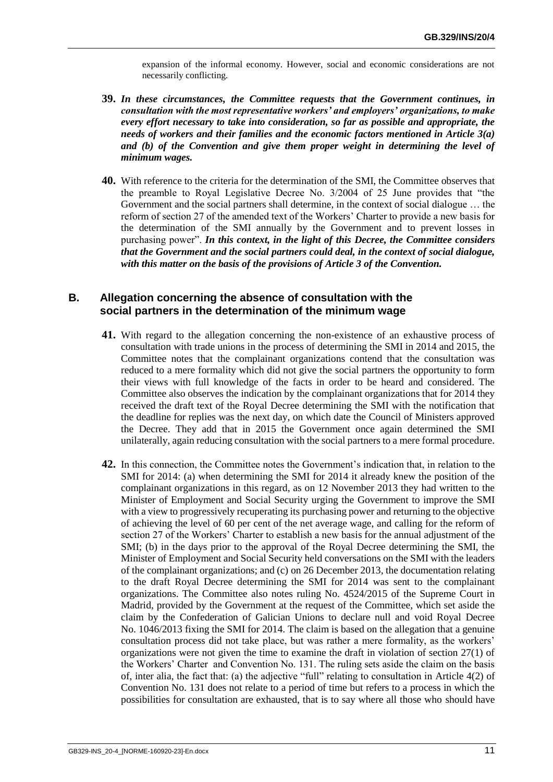expansion of the informal economy. However, social and economic considerations are not necessarily conflicting*.*

- **39.** *In these circumstances, the Committee requests that the Government continues, in consultation with the most representative workers' and employers' organizations, to make every effort necessary to take into consideration, so far as possible and appropriate, the needs of workers and their families and the economic factors mentioned in Article 3(a) and (b) of the Convention and give them proper weight in determining the level of minimum wages.*
- **40.** With reference to the criteria for the determination of the SMI, the Committee observes that the preamble to Royal Legislative Decree No. 3/2004 of 25 June provides that "the Government and the social partners shall determine, in the context of social dialogue … the reform of section 27 of the amended text of the Workers' Charter to provide a new basis for the determination of the SMI annually by the Government and to prevent losses in purchasing power". *In this context, in the light of this Decree, the Committee considers that the Government and the social partners could deal, in the context of social dialogue, with this matter on the basis of the provisions of Article 3 of the Convention.*

## **B. Allegation concerning the absence of consultation with the social partners in the determination of the minimum wage**

- **41.** With regard to the allegation concerning the non-existence of an exhaustive process of consultation with trade unions in the process of determining the SMI in 2014 and 2015, the Committee notes that the complainant organizations contend that the consultation was reduced to a mere formality which did not give the social partners the opportunity to form their views with full knowledge of the facts in order to be heard and considered. The Committee also observes the indication by the complainant organizations that for 2014 they received the draft text of the Royal Decree determining the SMI with the notification that the deadline for replies was the next day, on which date the Council of Ministers approved the Decree. They add that in 2015 the Government once again determined the SMI unilaterally, again reducing consultation with the social partners to a mere formal procedure.
- **42.** In this connection, the Committee notes the Government's indication that, in relation to the SMI for 2014: (a) when determining the SMI for 2014 it already knew the position of the complainant organizations in this regard, as on 12 November 2013 they had written to the Minister of Employment and Social Security urging the Government to improve the SMI with a view to progressively recuperating its purchasing power and returning to the objective of achieving the level of 60 per cent of the net average wage, and calling for the reform of section 27 of the Workers' Charter to establish a new basis for the annual adjustment of the SMI; (b) in the days prior to the approval of the Royal Decree determining the SMI, the Minister of Employment and Social Security held conversations on the SMI with the leaders of the complainant organizations; and (c) on 26 December 2013, the documentation relating to the draft Royal Decree determining the SMI for 2014 was sent to the complainant organizations. The Committee also notes ruling No. 4524/2015 of the Supreme Court in Madrid, provided by the Government at the request of the Committee, which set aside the claim by the Confederation of Galician Unions to declare null and void Royal Decree No. 1046/2013 fixing the SMI for 2014. The claim is based on the allegation that a genuine consultation process did not take place, but was rather a mere formality, as the workers' organizations were not given the time to examine the draft in violation of section 27(1) of the Workers' Charter and Convention No. 131. The ruling sets aside the claim on the basis of, inter alia, the fact that: (a) the adjective "full" relating to consultation in Article 4(2) of Convention No. 131 does not relate to a period of time but refers to a process in which the possibilities for consultation are exhausted, that is to say where all those who should have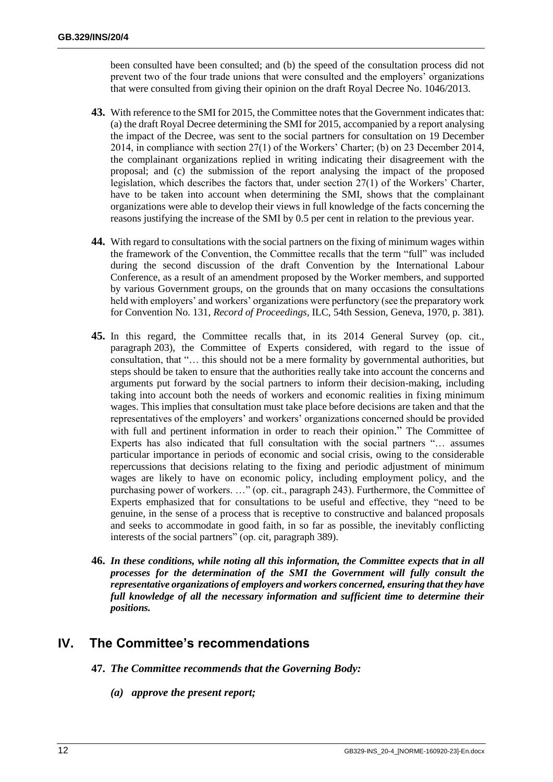been consulted have been consulted; and (b) the speed of the consultation process did not prevent two of the four trade unions that were consulted and the employers' organizations that were consulted from giving their opinion on the draft Royal Decree No. 1046/2013.

- **43.** With reference to the SMI for 2015, the Committee notes that the Government indicates that: (a) the draft Royal Decree determining the SMI for 2015, accompanied by a report analysing the impact of the Decree, was sent to the social partners for consultation on 19 December 2014, in compliance with section 27(1) of the Workers' Charter; (b) on 23 December 2014, the complainant organizations replied in writing indicating their disagreement with the proposal; and (c) the submission of the report analysing the impact of the proposed legislation, which describes the factors that, under section 27(1) of the Workers' Charter, have to be taken into account when determining the SMI, shows that the complainant organizations were able to develop their views in full knowledge of the facts concerning the reasons justifying the increase of the SMI by 0.5 per cent in relation to the previous year.
- **44.** With regard to consultations with the social partners on the fixing of minimum wages within the framework of the Convention, the Committee recalls that the term "full" was included during the second discussion of the draft Convention by the International Labour Conference, as a result of an amendment proposed by the Worker members, and supported by various Government groups, on the grounds that on many occasions the consultations held with employers' and workers' organizations were perfunctory (see the preparatory work for Convention No. 131, *Record of Proceedings*, ILC, 54th Session, Geneva, 1970, p. 381).
- **45.** In this regard, the Committee recalls that, in its 2014 General Survey (op. cit., paragraph 203), the Committee of Experts considered, with regard to the issue of consultation, that "… this should not be a mere formality by governmental authorities, but steps should be taken to ensure that the authorities really take into account the concerns and arguments put forward by the social partners to inform their decision-making, including taking into account both the needs of workers and economic realities in fixing minimum wages. This implies that consultation must take place before decisions are taken and that the representatives of the employers' and workers' organizations concerned should be provided with full and pertinent information in order to reach their opinion." The Committee of Experts has also indicated that full consultation with the social partners "… assumes particular importance in periods of economic and social crisis, owing to the considerable repercussions that decisions relating to the fixing and periodic adjustment of minimum wages are likely to have on economic policy, including employment policy, and the purchasing power of workers. …" (op. cit., paragraph 243). Furthermore, the Committee of Experts emphasized that for consultations to be useful and effective, they "need to be genuine, in the sense of a process that is receptive to constructive and balanced proposals and seeks to accommodate in good faith, in so far as possible, the inevitably conflicting interests of the social partners" (op. cit, paragraph 389).
- **46.** *In these conditions, while noting all this information, the Committee expects that in all processes for the determination of the SMI the Government will fully consult the representative organizations of employers and workers concerned, ensuring that they have full knowledge of all the necessary information and sufficient time to determine their positions.*

# **IV. The Committee's recommendations**

- **47.** *The Committee recommends that the Governing Body:*
	- *(a) approve the present report;*